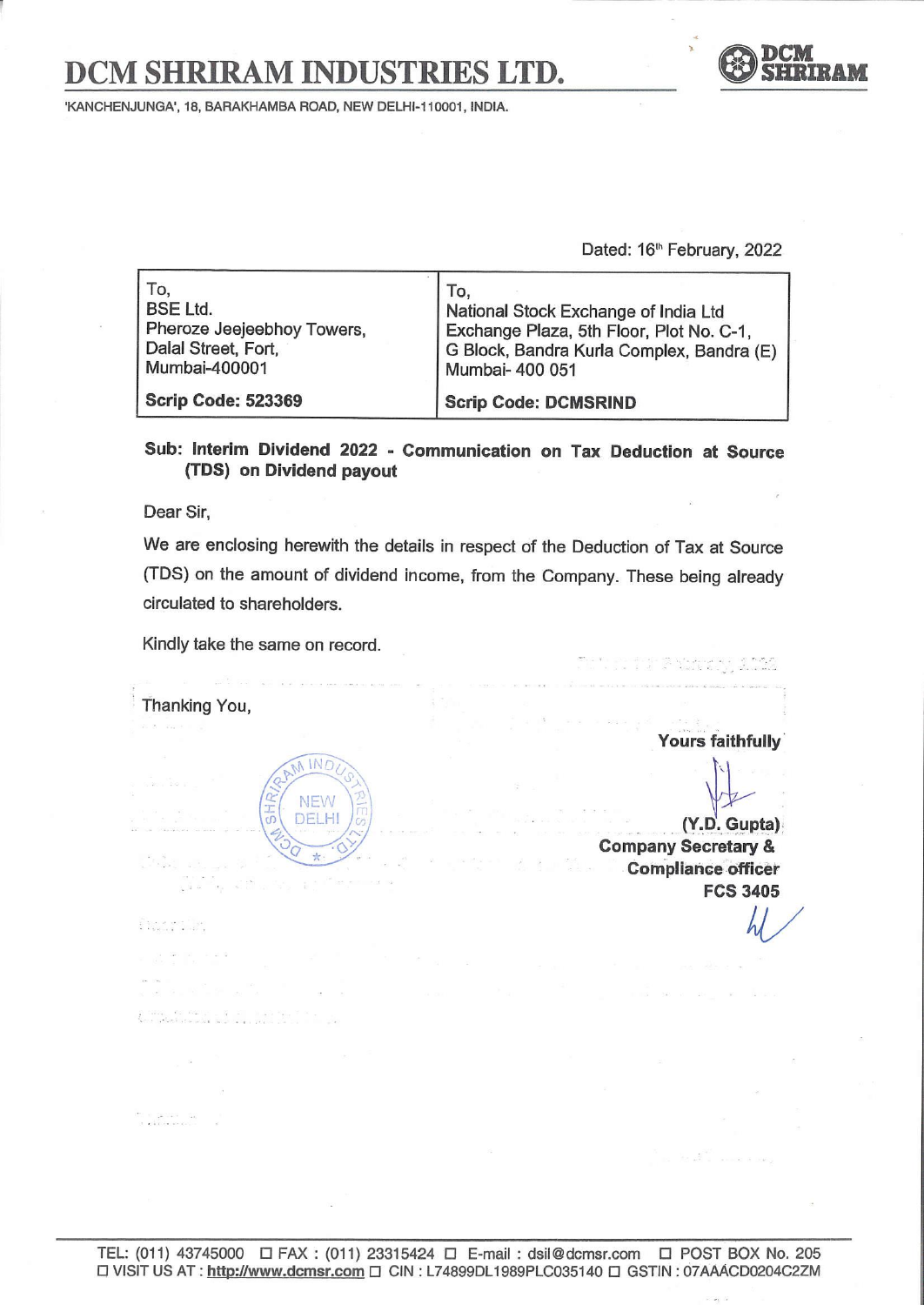# DCM SHRIRAM INDUSTRIES LTD. SHRIRAM INDUSTRIE



'KANCHENJUNGA', 18, BARAKHAMBA ROAD, NEW DELHI-110001, INDIA.

| <b>SHRIRAM INDUSTRIES LTD.</b>                                                               |                                                                                                                                                         |  |
|----------------------------------------------------------------------------------------------|---------------------------------------------------------------------------------------------------------------------------------------------------------|--|
| UNGA', 18, BARAKHAMBA ROAD, NEW DELHI-110001, INDIA.                                         | Dated: 16 <sup>th</sup> February, 2022                                                                                                                  |  |
| To,<br><b>BSE Ltd.</b><br>Pheroze Jeejeebhoy Towers,<br>Dalal Street, Fort,<br>Mumbai-400001 | To,<br>National Stock Exchange of India Ltd<br>Exchange Plaza, 5th Floor, Plot No. C-1,<br>G Block, Bandra Kurla Complex, Bandra (E)<br>Mumbai- 400 051 |  |
| <b>Scrip Code: 523369</b>                                                                    | <b>Scrip Code: DCMSRIND</b>                                                                                                                             |  |

Sub: Interim Dividend 2022 - Communication on Tax Deduction at Source (TDS) on Dividend payout

Dear Sir,

We are enclosing herewith the details in respect of the Deduction of Tax at Source (TDS) on the amount of dividend income, from the Company. These being already circulated to shareholders. TEL: (011) 43745000 O FAX : (011) 23315424 O E-mail : dsil@dcmsr.com O POST BOX No. 205<br>TEL: (011) 43745000 O FAX : (011) 23315424 O E-mail : dsil@dcmsr.com O POST BOX No. 205<br>TEL: (011) 43745000 O FAX : (011) 23315424 O E

Kindly take the same on record.

Thanking You,



Yours faithfully

 $M/$ 

\_\_. (Y.D. Gupta), Company Secretary & Compliance officer FCS 3405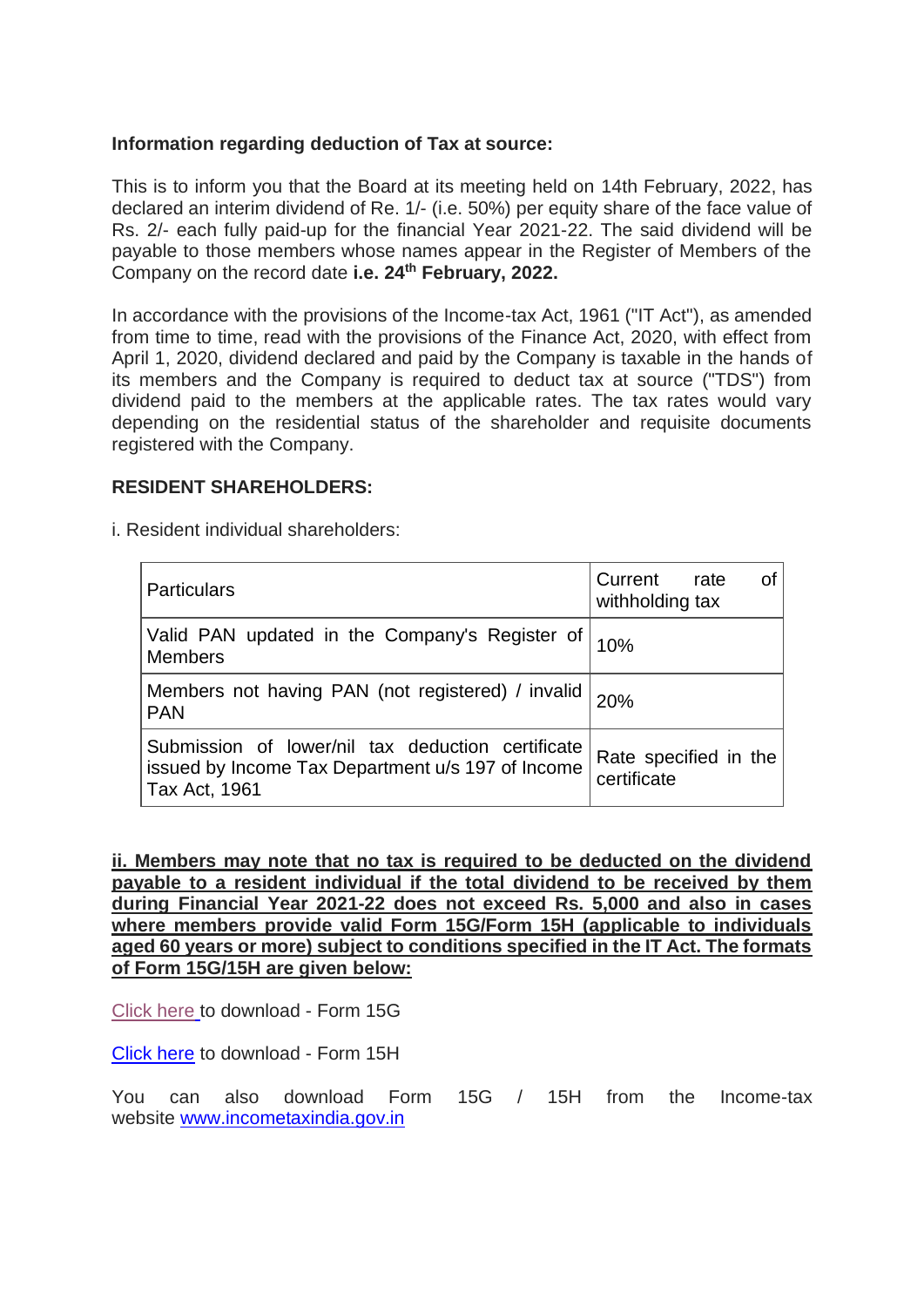# **Information regarding deduction of Tax at source:**

This is to inform you that the Board at its meeting held on 14th February, 2022, has declared an interim dividend of Re. 1/- (i.e. 50%) per equity share of the face value of Rs. 2/- each fully paid-up for the financial Year 2021-22. The said dividend will be payable to those members whose names appear in the Register of Members of the Company on the record date **i.e. 24th February, 2022.**

In accordance with the provisions of the Income-tax Act, 1961 ("IT Act"), as amended from time to time, read with the provisions of the Finance Act, 2020, with effect from April 1, 2020, dividend declared and paid by the Company is taxable in the hands of its members and the Company is required to deduct tax at source ("TDS") from dividend paid to the members at the applicable rates. The tax rates would vary depending on the residential status of the shareholder and requisite documents registered with the Company.

### **RESIDENT SHAREHOLDERS:**

i. Resident individual shareholders:

| <b>Particulars</b>                                                                                                      | Current rate<br>withholding tax      |
|-------------------------------------------------------------------------------------------------------------------------|--------------------------------------|
| Valid PAN updated in the Company's Register of 10%<br><b>Members</b>                                                    |                                      |
| Members not having PAN (not registered) / invalid   20%<br><b>PAN</b>                                                   |                                      |
| Submission of lower/nil tax deduction certificate<br>issued by Income Tax Department u/s 197 of Income<br>Tax Act, 1961 | Rate specified in the<br>certificate |

**ii. Members may note that no tax is required to be deducted on the dividend payable to a resident individual if the total dividend to be received by them during Financial Year 2021-22 does not exceed Rs. 5,000 and also in cases where members provide valid Form 15G/Form 15H (applicable to individuals aged 60 years or more) subject to conditions specified in the IT Act. The formats of Form 15G/15H are given below:**

[Click here](https://crimg.kfintech.com/bmails/files/DCM13485_Form15G.pdf) to download - Form 15G

[Click here](https://crimg.kfintech.com/bmails/files/DCM13485_Form15H.pdf) to download - Form 15H

You can also download Form 15G / 15H from the Income-tax website [www.incometaxindia.gov.in](https://www.incometaxindia.gov.in/)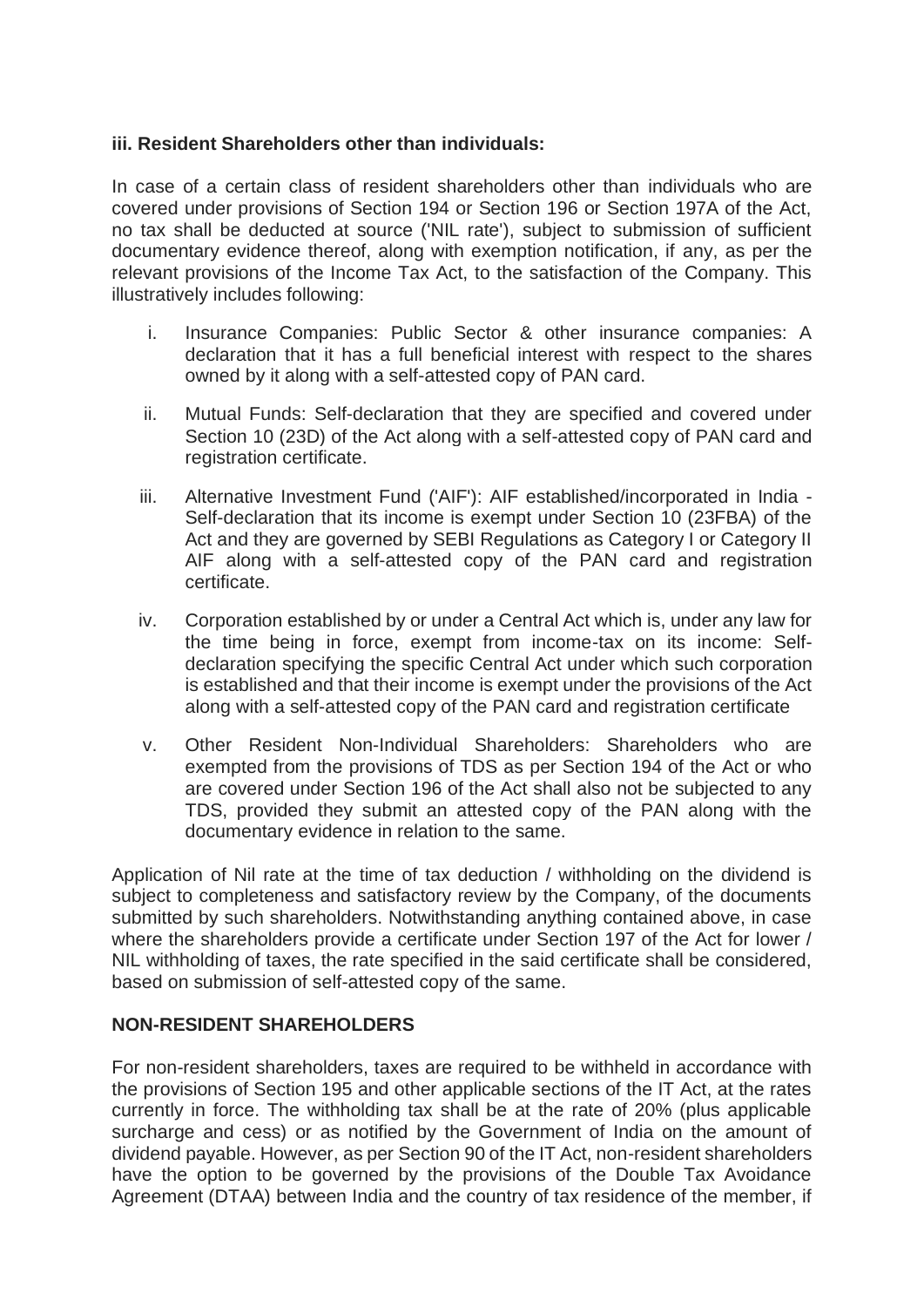# **iii. Resident Shareholders other than individuals:**

In case of a certain class of resident shareholders other than individuals who are covered under provisions of Section 194 or Section 196 or Section 197A of the Act, no tax shall be deducted at source ('NIL rate'), subject to submission of sufficient documentary evidence thereof, along with exemption notification, if any, as per the relevant provisions of the Income Tax Act, to the satisfaction of the Company. This illustratively includes following:

- i. Insurance Companies: Public Sector & other insurance companies: A declaration that it has a full beneficial interest with respect to the shares owned by it along with a self-attested copy of PAN card.
- ii. Mutual Funds: Self-declaration that they are specified and covered under Section 10 (23D) of the Act along with a self-attested copy of PAN card and registration certificate.
- iii. Alternative Investment Fund ('AIF'): AIF established/incorporated in India Self-declaration that its income is exempt under Section 10 (23FBA) of the Act and they are governed by SEBI Regulations as Category I or Category II AIF along with a self-attested copy of the PAN card and registration certificate.
- iv. Corporation established by or under a Central Act which is, under any law for the time being in force, exempt from income-tax on its income: Selfdeclaration specifying the specific Central Act under which such corporation is established and that their income is exempt under the provisions of the Act along with a self-attested copy of the PAN card and registration certificate
- v. Other Resident Non-Individual Shareholders: Shareholders who are exempted from the provisions of TDS as per Section 194 of the Act or who are covered under Section 196 of the Act shall also not be subjected to any TDS, provided they submit an attested copy of the PAN along with the documentary evidence in relation to the same.

Application of Nil rate at the time of tax deduction / withholding on the dividend is subject to completeness and satisfactory review by the Company, of the documents submitted by such shareholders. Notwithstanding anything contained above, in case where the shareholders provide a certificate under Section 197 of the Act for lower / NIL withholding of taxes, the rate specified in the said certificate shall be considered, based on submission of self-attested copy of the same.

# **NON-RESIDENT SHAREHOLDERS**

For non-resident shareholders, taxes are required to be withheld in accordance with the provisions of Section 195 and other applicable sections of the IT Act, at the rates currently in force. The withholding tax shall be at the rate of 20% (plus applicable surcharge and cess) or as notified by the Government of India on the amount of dividend payable. However, as per Section 90 of the IT Act, non-resident shareholders have the option to be governed by the provisions of the Double Tax Avoidance Agreement (DTAA) between India and the country of tax residence of the member, if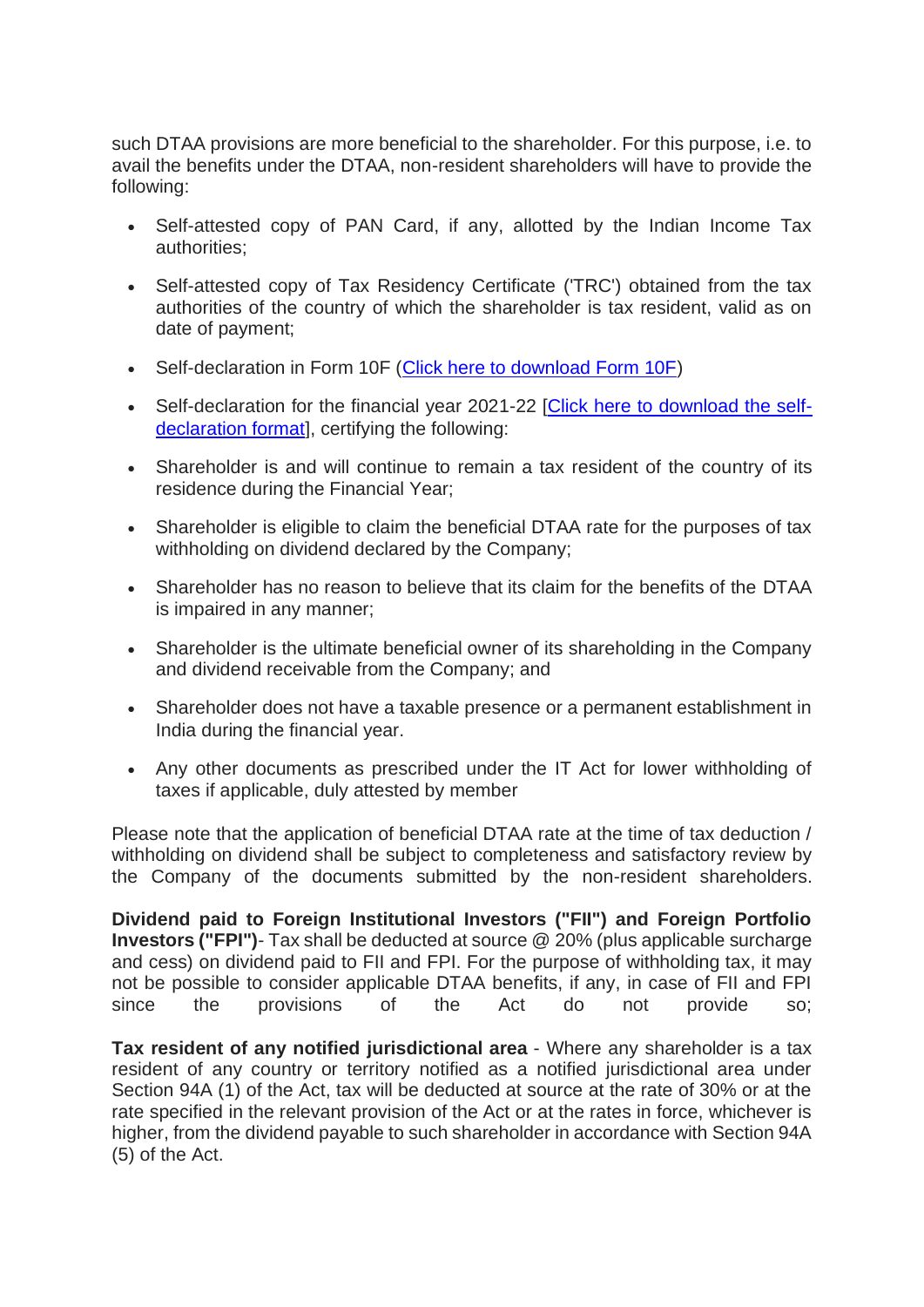such DTAA provisions are more beneficial to the shareholder. For this purpose, i.e. to avail the benefits under the DTAA, non-resident shareholders will have to provide the following:

- Self-attested copy of PAN Card, if any, allotted by the Indian Income Tax authorities;
- Self-attested copy of Tax Residency Certificate ('TRC') obtained from the tax authorities of the country of which the shareholder is tax resident, valid as on date of payment;
- Self-declaration in Form 10F [\(Click here to download Form 10F\)](https://crimg.kfintech.com/bmails/files/12333_DCM_Form_10F.pdf)
- Self-declaration for the financial year 2021-22 [\[Click here to download the self](https://crimg.kfintech.com/bmails/files/12333_Beneficial_ownership_declaration.pdf)[declaration format\]](https://crimg.kfintech.com/bmails/files/12333_Beneficial_ownership_declaration.pdf), certifying the following:
- Shareholder is and will continue to remain a tax resident of the country of its residence during the Financial Year;
- Shareholder is eligible to claim the beneficial DTAA rate for the purposes of tax withholding on dividend declared by the Company;
- Shareholder has no reason to believe that its claim for the benefits of the DTAA is impaired in any manner;
- Shareholder is the ultimate beneficial owner of its shareholding in the Company and dividend receivable from the Company; and
- Shareholder does not have a taxable presence or a permanent establishment in India during the financial year.
- Any other documents as prescribed under the IT Act for lower withholding of taxes if applicable, duly attested by member

Please note that the application of beneficial DTAA rate at the time of tax deduction / withholding on dividend shall be subject to completeness and satisfactory review by the Company of the documents submitted by the non-resident shareholders.

**Dividend paid to Foreign Institutional Investors ("FII") and Foreign Portfolio Investors ("FPI")**- Tax shall be deducted at source @ 20% (plus applicable surcharge and cess) on dividend paid to FII and FPI. For the purpose of withholding tax, it may not be possible to consider applicable DTAA benefits, if any, in case of FII and FPI since the provisions of the Act do not provide so;

**Tax resident of any notified jurisdictional area** - Where any shareholder is a tax resident of any country or territory notified as a notified jurisdictional area under Section 94A (1) of the Act, tax will be deducted at source at the rate of 30% or at the rate specified in the relevant provision of the Act or at the rates in force, whichever is higher, from the dividend payable to such shareholder in accordance with Section 94A (5) of the Act.